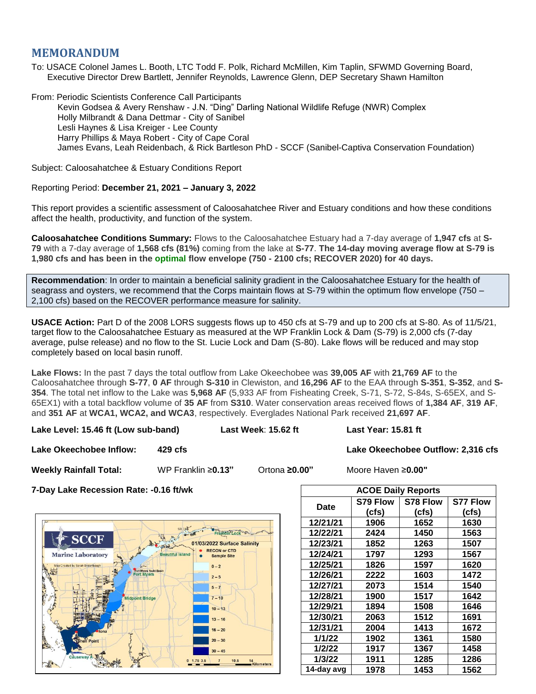## **MEMORANDUM**

To: USACE Colonel James L. Booth, LTC Todd F. Polk, Richard McMillen, Kim Taplin, SFWMD Governing Board, Executive Director Drew Bartlett, Jennifer Reynolds, Lawrence Glenn, DEP Secretary Shawn Hamilton

From: Periodic Scientists Conference Call Participants

Kevin Godsea & Avery Renshaw - J.N. "Ding" Darling National Wildlife Refuge (NWR) Complex Holly Milbrandt & Dana Dettmar - City of Sanibel Lesli Haynes & Lisa Kreiger - Lee County Harry Phillips & Maya Robert - City of Cape Coral James Evans, Leah Reidenbach, & Rick Bartleson PhD - SCCF (Sanibel-Captiva Conservation Foundation)

Subject: Caloosahatchee & Estuary Conditions Report

## Reporting Period: **December 21, 2021 – January 3, 2022**

This report provides a scientific assessment of Caloosahatchee River and Estuary conditions and how these conditions affect the health, productivity, and function of the system.

**Caloosahatchee Conditions Summary:** Flows to the Caloosahatchee Estuary had a 7-day average of **1,947 cfs** at **S-79** with a 7-day average of **1,568 cfs (81%)** coming from the lake at **S-77**. **The 14-day moving average flow at S-79 is 1,980 cfs and has been in the optimal flow envelope (750 - 2100 cfs; RECOVER 2020) for 40 days.**

**Recommendation**: In order to maintain a beneficial salinity gradient in the Caloosahatchee Estuary for the health of seagrass and oysters, we recommend that the Corps maintain flows at S-79 within the optimum flow envelope (750 – 2,100 cfs) based on the RECOVER performance measure for salinity.

**USACE Action:** Part D of the 2008 LORS suggests flows up to 450 cfs at S-79 and up to 200 cfs at S-80. As of 11/5/21, target flow to the Caloosahatchee Estuary as measured at the WP Franklin Lock & Dam (S-79) is 2,000 cfs (7-day average, pulse release) and no flow to the St. Lucie Lock and Dam (S-80). Lake flows will be reduced and may stop completely based on local basin runoff.

**Lake Flows:** In the past 7 days the total outflow from Lake Okeechobee was **39,005 AF** with **21,769 AF** to the Caloosahatchee through **S-77**, **0 AF** through **S-310** in Clewiston, and **16,296 AF** to the EAA through **S-351**, **S-352**, and **S-354**. The total net inflow to the Lake was **5,968 AF** (5,933 AF from Fisheating Creek, S-71, S-72, S-84s, S-65EX, and S-65EX1) with a total backflow volume of **35 AF** from **S310**. Water conservation areas received flows of **1,384 AF**, **319 AF**, and **351 AF** at **WCA1, WCA2, and WCA3**, respectively. Everglades National Park received **21,697 AF**.

**Lake Level: 15.46 ft (Low sub-band) Last Week**: **15.62 ft Last Year: 15.81 ft**

**Lake Okeechobee Inflow: 429 cfs Lake Okeechobee Outflow: 2,316 cfs**

**Weekly Rainfall Total:** WP Franklin ≥**0.13"** Ortona **≥0.00"** Moore Haven ≥**0.00"**

**7-Day Lake Recession Rate: -0.16 ft/wk** 



| <b>ACOE Daily Reports</b> |          |          |                 |  |  |  |
|---------------------------|----------|----------|-----------------|--|--|--|
| Date                      | S79 Flow | S78 Flow | <b>S77 Flow</b> |  |  |  |
|                           | (cfs)    | (cfs)    | (cfs)           |  |  |  |
| 12/21/21                  | 1906     | 1652     | 1630            |  |  |  |
| 12/22/21                  | 2424     | 1450     | 1563            |  |  |  |
| 12/23/21                  | 1852     | 1263     | 1507            |  |  |  |
| 12/24/21                  | 1797     | 1293     | 1567            |  |  |  |
| 12/25/21                  | 1826     | 1597     | 1620            |  |  |  |
| 12/26/21                  | 2222     | 1603     | 1472            |  |  |  |
| 12/27/21                  | 2073     | 1514     | 1540            |  |  |  |
| 12/28/21                  | 1900     | 1517     | 1642            |  |  |  |
| 12/29/21                  | 1894     | 1508     | 1646            |  |  |  |
| 12/30/21                  | 2063     | 1512     | 1691            |  |  |  |
| 12/31/21                  | 2004     | 1413     | 1672            |  |  |  |
| 1/1/22                    | 1902     | 1361     | 1580            |  |  |  |
| 1/2/22                    | 1917     | 1367     | 1458            |  |  |  |
| 1/3/22                    | 1911     | 1285     | 1286            |  |  |  |
| 14-day avg                | 1978     | 1453     | 1562            |  |  |  |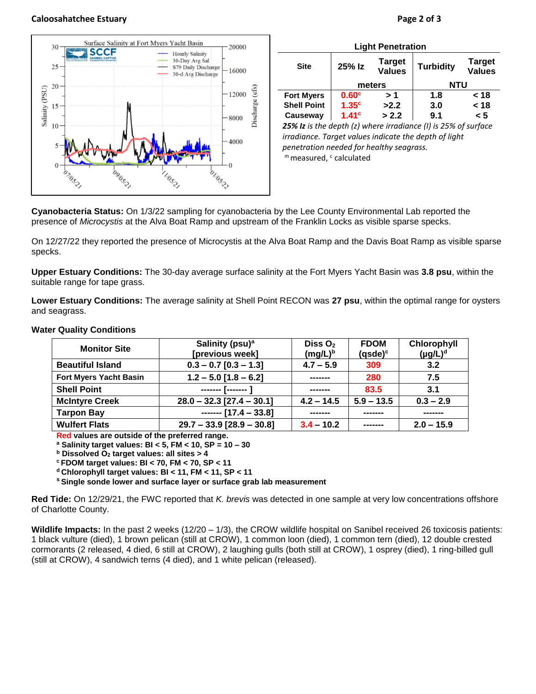## **Caloosahatchee Estuary Page 2 of 3**



| <b>Light Penetration</b> |                   |                                |                                                                         |                                |  |  |
|--------------------------|-------------------|--------------------------------|-------------------------------------------------------------------------|--------------------------------|--|--|
| <b>Site</b>              | 25% Iz            | <b>Target</b><br><b>Values</b> | <b>Turbidity</b>                                                        | <b>Target</b><br><b>Values</b> |  |  |
|                          | meters            |                                | <b>NTU</b>                                                              |                                |  |  |
| <b>Fort Myers</b>        | 0.60 <sup>c</sup> | > 1                            | 1.8                                                                     | < 18                           |  |  |
| <b>Shell Point</b>       | 1.35 <sup>c</sup> | >2.2                           | 3.0                                                                     | < 18                           |  |  |
| Causeway                 | 1.41 <sup>c</sup> | > 2.2                          | 9.1                                                                     | < 5                            |  |  |
|                          |                   |                                | <b>25% Iz</b> is the denth (z) where irradiance (I) is $25%$ of surface |                                |  |  |

*25% Iz is the depth (z) where irradiance (I) is 25% of surface irradiance. Target values indicate the depth of light penetration needed for healthy seagrass.* m measured, c calculated

**Cyanobacteria Status:** On 1/3/22 sampling for cyanobacteria by the Lee County Environmental Lab reported the presence of *Microcystis* at the Alva Boat Ramp and upstream of the Franklin Locks as visible sparse specks.

On 12/27/22 they reported the presence of Microcystis at the Alva Boat Ramp and the Davis Boat Ramp as visible sparse specks.

**Upper Estuary Conditions:** The 30-day average surface salinity at the Fort Myers Yacht Basin was **3.8 psu**, within the suitable range for tape grass.

**Lower Estuary Conditions:** The average salinity at Shell Point RECON was **27 psu**, within the optimal range for oysters and seagrass.

| <b>Monitor Site</b>           | Salinity (psu) <sup>a</sup><br>[previous week] | Diss $O2$<br>$(mg/L)^b$ | <b>FDOM</b><br>$(gsde)^c$ | Chlorophyll<br>$(\mu g/L)^d$ |
|-------------------------------|------------------------------------------------|-------------------------|---------------------------|------------------------------|
| <b>Beautiful Island</b>       | $0.3 - 0.7$ [0.3 - 1.3]                        | $4.7 - 5.9$             | 309                       | 3.2                          |
| <b>Fort Myers Yacht Basin</b> | $1.2 - 5.0$ [1.8 - 6.2]                        | -------                 | 280                       | 7.5                          |
| <b>Shell Point</b>            | ------- [------- ]                             | -------                 | 83.5                      | 3.1                          |
| <b>McIntyre Creek</b>         | $28.0 - 32.3$ [27.4 - 30.1]                    | $4.2 - 14.5$            | $5.9 - 13.5$              | $0.3 - 2.9$                  |
| <b>Tarpon Bay</b>             | $---$ [17.4 - 33.8]                            |                         |                           |                              |
| <b>Wulfert Flats</b>          | $29.7 - 33.9$ [28.9 - 30.8]                    | $3.4 - 10.2$            | -------                   | $2.0 - 15.9$                 |

## **Water Quality Conditions**

**Red values are outside of the preferred range.**

**<sup>a</sup> Salinity target values: BI < 5, FM < 10, SP = 10 – 30**

**<sup>b</sup> Dissolved O<sup>2</sup> target values: all sites > 4**

**<sup>c</sup> FDOM target values: BI < 70, FM < 70, SP < 11**

**<sup>d</sup> Chlorophyll target values: BI < 11, FM < 11, SP < 11** 

**<sup>s</sup> Single sonde lower and surface layer or surface grab lab measurement**

**Red Tide:** On 12/29/21, the FWC reported that *K. brevis* was detected in one sample at very low concentrations offshore of Charlotte County.

**Wildlife Impacts:** In the past 2 weeks (12/20 – 1/3), the CROW wildlife hospital on Sanibel received 26 toxicosis patients: 1 black vulture (died), 1 brown pelican (still at CROW), 1 common loon (died), 1 common tern (died), 12 double crested cormorants (2 released, 4 died, 6 still at CROW), 2 laughing gulls (both still at CROW), 1 osprey (died), 1 ring-billed gull (still at CROW), 4 sandwich terns (4 died), and 1 white pelican (released).